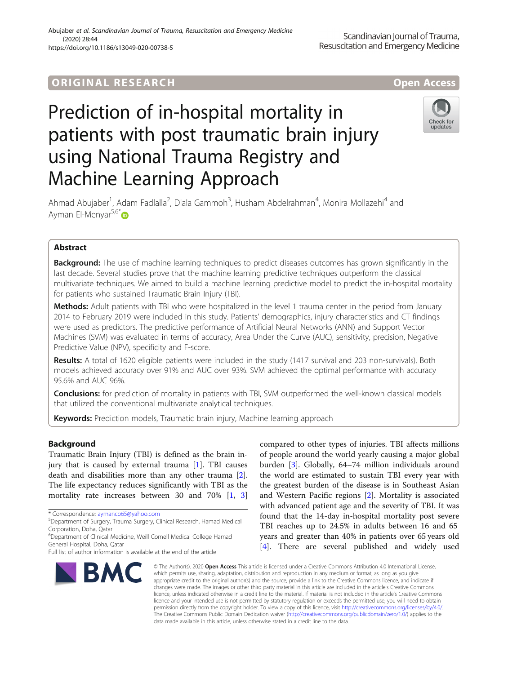## **ORIGINAL RESEARCH AND LOCAL CONSUMING A LOCAL CONSUMING A LOCAL CONSUMING A LOCAL CONSUMING A LOCAL CONSUMING**

# Prediction of in-hospital mortality in patients with post traumatic brain injury using National Trauma Registry and Machine Learning Approach



Ahmad Abujaber<sup>1</sup>, Adam Fadlalla<sup>2</sup>, Diala Gammoh<sup>3</sup>, Husham Abdelrahman<sup>4</sup>, Monira Mollazehi<sup>4</sup> and Ayman El-Menyar<sup>5,6\*</sup>

### Abstract

**Background:** The use of machine learning techniques to predict diseases outcomes has grown significantly in the last decade. Several studies prove that the machine learning predictive techniques outperform the classical multivariate techniques. We aimed to build a machine learning predictive model to predict the in-hospital mortality for patients who sustained Traumatic Brain Injury (TBI).

Methods: Adult patients with TBI who were hospitalized in the level 1 trauma center in the period from January 2014 to February 2019 were included in this study. Patients' demographics, injury characteristics and CT findings were used as predictors. The predictive performance of Artificial Neural Networks (ANN) and Support Vector Machines (SVM) was evaluated in terms of accuracy, Area Under the Curve (AUC), sensitivity, precision, Negative Predictive Value (NPV), specificity and F-score.

Results: A total of 1620 eligible patients were included in the study (1417 survival and 203 non-survivals). Both models achieved accuracy over 91% and AUC over 93%. SVM achieved the optimal performance with accuracy 95.6% and AUC 96%.

**Conclusions:** for prediction of mortality in patients with TBI, SVM outperformed the well-known classical models that utilized the conventional multivariate analytical techniques.

Keywords: Prediction models, Traumatic brain injury, Machine learning approach

#### Background

Traumatic Brain Injury (TBI) is defined as the brain injury that is caused by external trauma [\[1](#page-8-0)]. TBI causes death and disabilities more than any other trauma [\[2](#page-8-0)]. The life expectancy reduces significantly with TBI as the mortality rate increases between 30 and 70% [\[1,](#page-8-0) [3](#page-8-0)]

\* Correspondence: [aymanco65@yahoo.com](mailto:aymanco65@yahoo.com) <sup>5</sup>

Full list of author information is available at the end of the article



compared to other types of injuries. TBI affects millions of people around the world yearly causing a major global burden [[3\]](#page-8-0). Globally, 64–74 million individuals around the world are estimated to sustain TBI every year with the greatest burden of the disease is in Southeast Asian and Western Pacific regions [\[2](#page-8-0)]. Mortality is associated with advanced patient age and the severity of TBI. It was found that the 14-day in-hospital mortality post severe TBI reaches up to 24.5% in adults between 16 and 65 years and greater than 40% in patients over 65 years old [[4\]](#page-8-0). There are several published and widely used

© The Author(s), 2020 **Open Access** This article is licensed under a Creative Commons Attribution 4.0 International License, which permits use, sharing, adaptation, distribution and reproduction in any medium or format, as long as you give appropriate credit to the original author(s) and the source, provide a link to the Creative Commons licence, and indicate if changes were made. The images or other third party material in this article are included in the article's Creative Commons licence, unless indicated otherwise in a credit line to the material. If material is not included in the article's Creative Commons licence and your intended use is not permitted by statutory regulation or exceeds the permitted use, you will need to obtain permission directly from the copyright holder. To view a copy of this licence, visit [http://creativecommons.org/licenses/by/4.0/.](http://creativecommons.org/licenses/by/4.0/) The Creative Commons Public Domain Dedication waiver [\(http://creativecommons.org/publicdomain/zero/1.0/](http://creativecommons.org/publicdomain/zero/1.0/)) applies to the data made available in this article, unless otherwise stated in a credit line to the data.

Department of Surgery, Trauma Surgery, Clinical Research, Hamad Medical Corporation, Doha, Qatar

<sup>&</sup>lt;sup>6</sup>Department of Clinical Medicine, Weill Cornell Medical College Hamad General Hospital, Doha, Qatar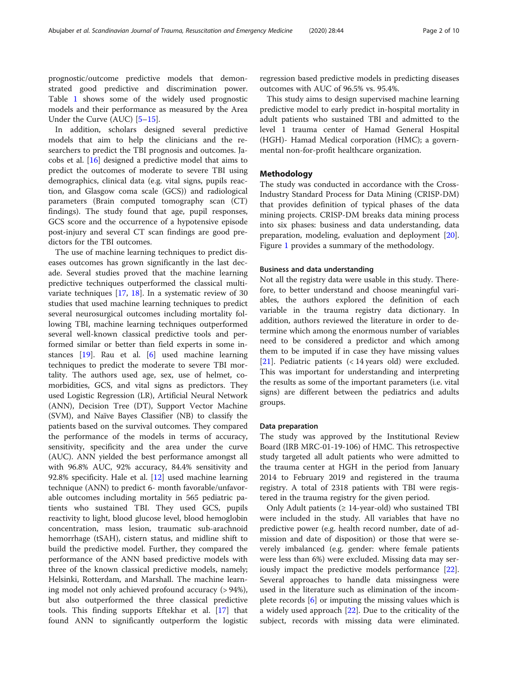prognostic/outcome predictive models that demonstrated good predictive and discrimination power. Table [1](#page-2-0) shows some of the widely used prognostic models and their performance as measured by the Area Under the Curve (AUC) [\[5](#page-8-0)–[15\]](#page-8-0).

In addition, scholars designed several predictive models that aim to help the clinicians and the researchers to predict the TBI prognosis and outcomes. Jacobs et al. [\[16\]](#page-8-0) designed a predictive model that aims to predict the outcomes of moderate to severe TBI using demographics, clinical data (e.g. vital signs, pupils reaction, and Glasgow coma scale (GCS)) and radiological parameters (Brain computed tomography scan (CT) findings). The study found that age, pupil responses, GCS score and the occurrence of a hypotensive episode post-injury and several CT scan findings are good predictors for the TBI outcomes.

The use of machine learning techniques to predict diseases outcomes has grown significantly in the last decade. Several studies proved that the machine learning predictive techniques outperformed the classical multivariate techniques [\[17](#page-8-0), [18\]](#page-8-0). In a systematic review of 30 studies that used machine learning techniques to predict several neurosurgical outcomes including mortality following TBI, machine learning techniques outperformed several well-known classical predictive tools and performed similar or better than field experts in some instances [\[19](#page-8-0)]. Rau et al. [[6\]](#page-8-0) used machine learning techniques to predict the moderate to severe TBI mortality. The authors used age, sex, use of helmet, comorbidities, GCS, and vital signs as predictors. They used Logistic Regression (LR), Artificial Neural Network (ANN), Decision Tree (DT), Support Vector Machine (SVM), and Naïve Bayes Classifier (NB) to classify the patients based on the survival outcomes. They compared the performance of the models in terms of accuracy, sensitivity, specificity and the area under the curve (AUC). ANN yielded the best performance amongst all with 96.8% AUC, 92% accuracy, 84.4% sensitivity and 92.8% specificity. Hale et al. [[12\]](#page-8-0) used machine learning technique (ANN) to predict 6- month favorable/unfavorable outcomes including mortality in 565 pediatric patients who sustained TBI. They used GCS, pupils reactivity to light, blood glucose level, blood hemoglobin concentration, mass lesion, traumatic sub-arachnoid hemorrhage (tSAH), cistern status, and midline shift to build the predictive model. Further, they compared the performance of the ANN based predictive models with three of the known classical predictive models, namely; Helsinki, Rotterdam, and Marshall. The machine learning model not only achieved profound accuracy (> 94%), but also outperformed the three classical predictive tools. This finding supports Eftekhar et al. [[17](#page-8-0)] that found ANN to significantly outperform the logistic regression based predictive models in predicting diseases outcomes with AUC of 96.5% vs. 95.4%.

This study aims to design supervised machine learning predictive model to early predict in-hospital mortality in adult patients who sustained TBI and admitted to the level 1 trauma center of Hamad General Hospital (HGH)- Hamad Medical corporation (HMC); a governmental non-for-profit healthcare organization.

#### Methodology

The study was conducted in accordance with the Cross-Industry Standard Process for Data Mining (CRISP-DM) that provides definition of typical phases of the data mining projects. CRISP-DM breaks data mining process into six phases: business and data understanding, data preparation, modeling, evaluation and deployment [\[20](#page-8-0)]. Figure [1](#page-3-0) provides a summary of the methodology.

#### Business and data understanding

Not all the registry data were usable in this study. Therefore, to better understand and choose meaningful variables, the authors explored the definition of each variable in the trauma registry data dictionary. In addition, authors reviewed the literature in order to determine which among the enormous number of variables need to be considered a predictor and which among them to be imputed if in case they have missing values [[21\]](#page-8-0). Pediatric patients (< 14 years old) were excluded. This was important for understanding and interpreting the results as some of the important parameters (i.e. vital signs) are different between the pediatrics and adults groups.

#### Data preparation

The study was approved by the Institutional Review Board (IRB MRC-01-19-106) of HMC. This retrospective study targeted all adult patients who were admitted to the trauma center at HGH in the period from January 2014 to February 2019 and registered in the trauma registry. A total of 2318 patients with TBI were registered in the trauma registry for the given period.

Only Adult patients ( $\geq 14$ -year-old) who sustained TBI were included in the study. All variables that have no predictive power (e.g. health record number, date of admission and date of disposition) or those that were severely imbalanced (e.g. gender: where female patients were less than 6%) were excluded. Missing data may seriously impact the predictive models performance [\[22](#page-8-0)]. Several approaches to handle data missingness were used in the literature such as elimination of the incomplete records [[6\]](#page-8-0) or imputing the missing values which is a widely used approach [[22](#page-8-0)]. Due to the criticality of the subject, records with missing data were eliminated.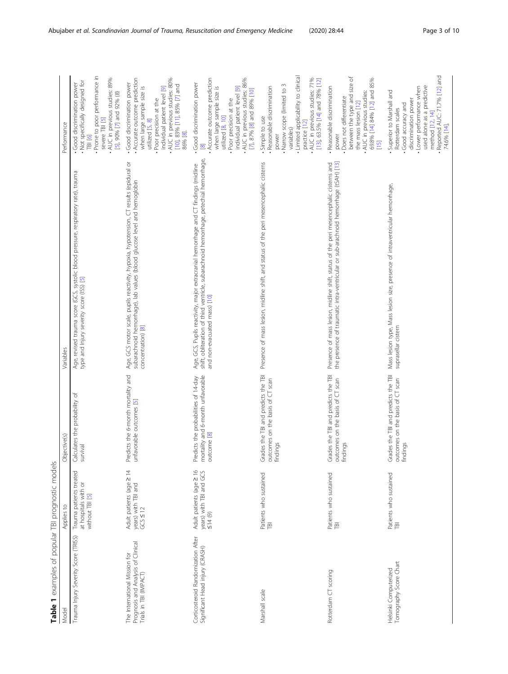<span id="page-2-0"></span>

| Table 1 examples of popular TBI prognostic models                                             |                                                                    |                                                                                                         |                                                                                                                                                                                                               |                                                                                                                                                                                                                                                                |
|-----------------------------------------------------------------------------------------------|--------------------------------------------------------------------|---------------------------------------------------------------------------------------------------------|---------------------------------------------------------------------------------------------------------------------------------------------------------------------------------------------------------------|----------------------------------------------------------------------------------------------------------------------------------------------------------------------------------------------------------------------------------------------------------------|
| Model                                                                                         | Applies to                                                         | Objective(s)                                                                                            | Variables                                                                                                                                                                                                     | Performance                                                                                                                                                                                                                                                    |
| Trauma Injury Severity Score (TRISS)                                                          | Trauma patients treated<br>at hospitals with or<br>without TBI [5] | Calculates the probability of<br>survival                                                               | Age, revised trauma score (GCS, systolic blood pressure, respiratory rate), trauma<br>type and Injury severity score (ISS) [5]                                                                                | . Prone to poor performance in<br>. AUC in previous studies: 89%<br>. Not specifically designed for<br>· Good discrimination power<br>[5], 90% [7] and 92% (8)<br>severe TBI [5]<br><b>TBI [6]</b>                                                             |
| Prognosis and Analysis of Clinical<br>The International Mission for<br>Trials in TBI (IMPACT) | Adult patients (age ≥ 14<br>years) with TBI and<br>$GCS \leq 12$   | Predicts the 6-month mortality and<br>unfavorable outcomes [5]                                          | Age, GCS motor scale, pupils reactivity, hypoxia, hypotension, CT results (epidural or<br>subarachnoid hemorrhage), lab values (blood glucose level and hemoglobin<br>concentration) [8]                      | . Accurate outcome prediction<br>. AUC in previous studies: 80%<br>Good discrimination power<br>[10], 83% [11], 85% [7] and<br>when large sample size is<br>individual patient level [9]<br>. Poor precision at the<br>utilized [5, 8]<br>86% [8].             |
| Corticosteroid Randomization After<br>Significant Head injury (CRASH)                         | Adult patients (age ≥ 16<br>years) with TBI and GCS<br>≤14(9)      | mortality and 6-month unfavorable<br>icts the probabilities of 14-day<br>outcome <sup>[8]</sup><br>Pred | shift, obliteration of third ventricle, subarachnoid hemorrhage, petechial hemorrhage,<br>Age, GCS, Pupils reactivity, major extracranial hemorrhage and CT findings (midline<br>and non-evacuated mass) [10] | Accurate outcome prediction<br>. AUC in previous studies: 86%<br>Good discrimination power<br>when large sample size is<br>individual patient level [9]<br>[7], 87% [8] and 89% [10]<br>. Poor precision at the<br>utilized [8, 10]<br>$\overline{\mathbf{8}}$ |
| Marshall scale                                                                                | Patients who sustained<br>ΤBΙ                                      | es the TBI and predicts the TBI<br>outcomes on the basis of CT scan<br>findings<br>Grad                 | Presence of mass lesion, midline shift, and status of the peri mesencephalic cistems                                                                                                                          | · Limited applicability to clinical<br>AUC in previous studies: 71%<br>[13], 63.5% [14] and 78% [12]<br>- Narrow scope (limited to 3<br>· Reasonable discrimination<br>- Simple to use<br>practice [12]<br>variables)<br>power                                 |
| Rotterdam CT scoring                                                                          | Patients who sustained<br>严                                        | es the TBI and predicts the TBI<br>outcomes on the basis of CT scan<br>findings<br>Grad                 | the presence of traumatic intra-ventricular or sub-arachnoid hemorrhage (tSAH) [13]<br>Presence of mass lesion, midline shift, status of the peri mesencephalic cistems and                                   | between the type and size of<br>69.8% [14] 84% [12] and 85%<br>- Reasonable discrimination<br>. AUC in previous studies:<br>· Does not differentiate<br>the mass lesion [12]<br>power<br>$\overline{15}$                                                       |
| Tomography Score Chart<br>Helsinki Computerized                                               | Patients who sustained<br>戸                                        | es the TBI and predicts the TBI<br>outcomes on the basis of CT scan<br>findings<br>Grad                 | Mass lesion type, Mass lesion size, presence of intraventricular hemorrhage,<br>suprasellar cistern                                                                                                           | - Reported AUC: 71.7% [12] and<br>used alone as a predictive<br>• Lower performance when<br>. Superior to Marshall and<br>discrimination power<br>Good accuracy and<br>Rotterdam scales<br>method [12, 14]<br>74.6% [14],                                      |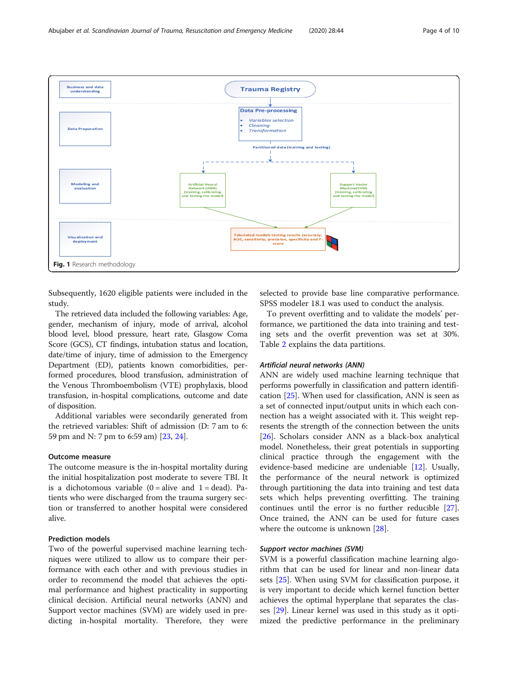<span id="page-3-0"></span>

Subsequently, 1620 eligible patients were included in the study.

The retrieved data included the following variables: Age, gender, mechanism of injury, mode of arrival, alcohol blood level, blood pressure, heart rate, Glasgow Coma Score (GCS), CT findings, intubation status and location, date/time of injury, time of admission to the Emergency Department (ED), patients known comorbidities, performed procedures, blood transfusion, administration of the Venous Thromboembolism (VTE) prophylaxis, blood transfusion, in-hospital complications, outcome and date of disposition.

Additional variables were secondarily generated from the retrieved variables: Shift of admission (D: 7 am to 6: 59 pm and N: 7 pm to 6:59 am) [\[23](#page-8-0), [24](#page-8-0)].

#### Outcome measure

The outcome measure is the in-hospital mortality during the initial hospitalization post moderate to severe TBI. It is a dichotomous variable  $(0 =$  alive and  $1 =$  dead). Patients who were discharged from the trauma surgery section or transferred to another hospital were considered alive.

#### Prediction models

Two of the powerful supervised machine learning techniques were utilized to allow us to compare their performance with each other and with previous studies in order to recommend the model that achieves the optimal performance and highest practicality in supporting clinical decision. Artificial neural networks (ANN) and Support vector machines (SVM) are widely used in predicting in-hospital mortality. Therefore, they were selected to provide base line comparative performance. SPSS modeler 18.1 was used to conduct the analysis.

To prevent overfitting and to validate the models' performance, we partitioned the data into training and testing sets and the overfit prevention was set at 30%. Table [2](#page-4-0) explains the data partitions.

#### Artificial neural networks (ANN)

ANN are widely used machine learning technique that performs powerfully in classification and pattern identification [[25\]](#page-8-0). When used for classification, ANN is seen as a set of connected input/output units in which each connection has a weight associated with it. This weight represents the strength of the connection between the units [[26\]](#page-8-0). Scholars consider ANN as a black-box analytical model. Nonetheless, their great potentials in supporting clinical practice through the engagement with the evidence-based medicine are undeniable [[12\]](#page-8-0). Usually, the performance of the neural network is optimized through partitioning the data into training and test data sets which helps preventing overfitting. The training continues until the error is no further reducible [\[27](#page-8-0)]. Once trained, the ANN can be used for future cases where the outcome is unknown [[28](#page-8-0)].

#### Support vector machines (SVM)

SVM is a powerful classification machine learning algorithm that can be used for linear and non-linear data sets [[25](#page-8-0)]. When using SVM for classification purpose, it is very important to decide which kernel function better achieves the optimal hyperplane that separates the classes [[29](#page-8-0)]. Linear kernel was used in this study as it optimized the predictive performance in the preliminary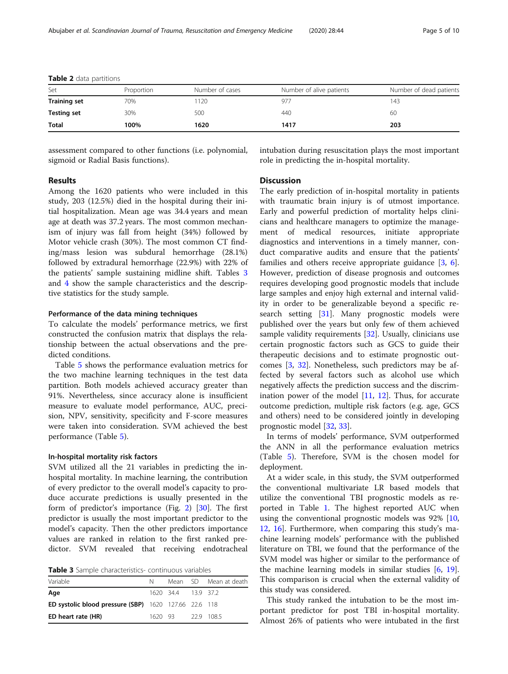| Set                 | Proportion | Number of cases | Number of alive patients | Number of dead patients |
|---------------------|------------|-----------------|--------------------------|-------------------------|
| <b>Training set</b> | 70%        | 120             | 977                      | 143                     |
| <b>Testing set</b>  | 30%        | 500             | 440                      | 60                      |
| Total               | 100%       | 1620            | 1417                     | 203                     |

<span id="page-4-0"></span>Table 2 data partitions

assessment compared to other functions (i.e. polynomial, sigmoid or Radial Basis functions).

#### Results

Among the 1620 patients who were included in this study, 203 (12.5%) died in the hospital during their initial hospitalization. Mean age was 34.4 years and mean age at death was 37.2 years. The most common mechanism of injury was fall from height (34%) followed by Motor vehicle crash (30%). The most common CT finding/mass lesion was subdural hemorrhage (28.1%) followed by extradural hemorrhage (22.9%) with 22% of the patients' sample sustaining midline shift. Tables 3 and [4](#page-5-0) show the sample characteristics and the descriptive statistics for the study sample.

#### Performance of the data mining techniques

To calculate the models' performance metrics, we first constructed the confusion matrix that displays the relationship between the actual observations and the predicted conditions.

Table [5](#page-6-0) shows the performance evaluation metrics for the two machine learning techniques in the test data partition. Both models achieved accuracy greater than 91%. Nevertheless, since accuracy alone is insufficient measure to evaluate model performance, AUC, precision, NPV, sensitivity, specificity and F-score measures were taken into consideration. SVM achieved the best performance (Table [5](#page-6-0)).

#### In-hospital mortality risk factors

SVM utilized all the 21 variables in predicting the inhospital mortality. In machine learning, the contribution of every predictor to the overall model's capacity to produce accurate predictions is usually presented in the form of predictor's importance (Fig. [2\)](#page-7-0) [\[30\]](#page-8-0). The first predictor is usually the most important predictor to the model's capacity. Then the other predictors importance values are ranked in relation to the first ranked predictor. SVM revealed that receiving endotracheal

Table 3 Sample characteristics- continuous variables

| Variable                                              |                     | N Mean SD Mean at death |
|-------------------------------------------------------|---------------------|-------------------------|
| Age                                                   | 1620 34.4 13.9 37.2 |                         |
| ED systolic blood pressure (SBP) 1620 127.66 22.6 118 |                     |                         |
| ED heart rate (HR)                                    | 1620 93 22.9 108.5  |                         |

intubation during resuscitation plays the most important role in predicting the in-hospital mortality.

#### **Discussion**

The early prediction of in-hospital mortality in patients with traumatic brain injury is of utmost importance. Early and powerful prediction of mortality helps clinicians and healthcare managers to optimize the management of medical resources, initiate appropriate diagnostics and interventions in a timely manner, conduct comparative audits and ensure that the patients' families and others receive appropriate guidance [\[3,](#page-8-0) [6](#page-8-0)]. However, prediction of disease prognosis and outcomes requires developing good prognostic models that include large samples and enjoy high external and internal validity in order to be generalizable beyond a specific research setting [[31\]](#page-8-0). Many prognostic models were published over the years but only few of them achieved sample validity requirements [[32\]](#page-8-0). Usually, clinicians use certain prognostic factors such as GCS to guide their therapeutic decisions and to estimate prognostic outcomes [[3,](#page-8-0) [32\]](#page-8-0). Nonetheless, such predictors may be affected by several factors such as alcohol use which negatively affects the prediction success and the discrimination power of the model  $[11, 12]$  $[11, 12]$  $[11, 12]$ . Thus, for accurate outcome prediction, multiple risk factors (e.g. age, GCS and others) need to be considered jointly in developing prognostic model [\[32](#page-8-0), [33](#page-9-0)].

In terms of models' performance, SVM outperformed the ANN in all the performance evaluation metrics (Table [5\)](#page-6-0). Therefore, SVM is the chosen model for deployment.

At a wider scale, in this study, the SVM outperformed the conventional multivariate LR based models that utilize the conventional TBI prognostic models as reported in Table [1.](#page-2-0) The highest reported AUC when using the conventional prognostic models was 92% [[10](#page-8-0), [12,](#page-8-0) [16\]](#page-8-0). Furthermore, when comparing this study's machine learning models' performance with the published literature on TBI, we found that the performance of the SVM model was higher or similar to the performance of the machine learning models in similar studies [\[6,](#page-8-0) [19](#page-8-0)]. This comparison is crucial when the external validity of this study was considered.

This study ranked the intubation to be the most important predictor for post TBI in-hospital mortality. Almost 26% of patients who were intubated in the first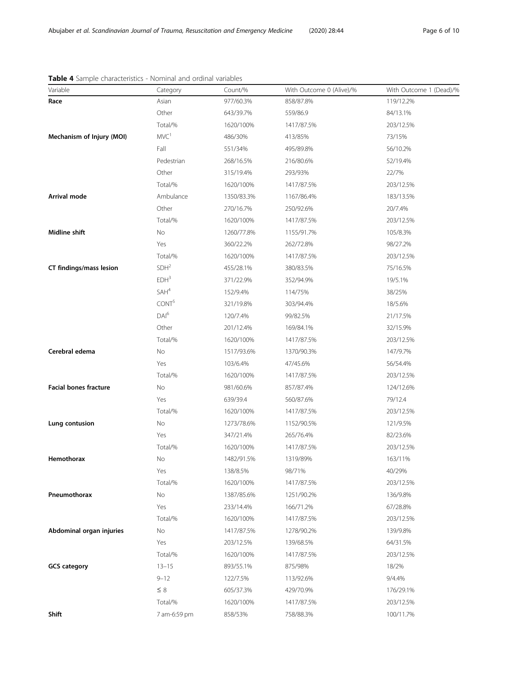<span id="page-5-0"></span>

|  | <b>Table 4</b> Sample characteristics - Nominal and ordinal variables |
|--|-----------------------------------------------------------------------|
|--|-----------------------------------------------------------------------|

| Variable                     | Category          | Count/%    | With Outcome 0 (Alive)/% | With Outcome 1 (Dead)/% |
|------------------------------|-------------------|------------|--------------------------|-------------------------|
| Race                         | Asian             | 977/60.3%  | 858/87.8%                | 119/12.2%               |
|                              | Other             | 643/39.7%  | 559/86.9                 | 84/13.1%                |
|                              | Total/%           | 1620/100%  | 1417/87.5%               | 203/12.5%               |
| Mechanism of Injury (MOI)    | MVC <sup>1</sup>  | 486/30%    | 413/85%                  | 73/15%                  |
|                              | Fall              | 551/34%    | 495/89.8%                | 56/10.2%                |
|                              | Pedestrian        | 268/16.5%  | 216/80.6%                | 52/19.4%                |
|                              | Other             | 315/19.4%  | 293/93%                  | 22/7%                   |
|                              | Total/%           | 1620/100%  | 1417/87.5%               | 203/12.5%               |
| Arrival mode                 | Ambulance         | 1350/83.3% | 1167/86.4%               | 183/13.5%               |
|                              | Other             | 270/16.7%  | 250/92.6%                | 20/7.4%                 |
|                              | Total/%           | 1620/100%  | 1417/87.5%               | 203/12.5%               |
| Midline shift                | No                | 1260/77.8% | 1155/91.7%               | 105/8.3%                |
|                              | Yes               | 360/22.2%  | 262/72.8%                | 98/27.2%                |
|                              | Total/%           | 1620/100%  | 1417/87.5%               | 203/12.5%               |
| CT findings/mass lesion      | SDH <sup>2</sup>  | 455/28.1%  | 380/83.5%                | 75/16.5%                |
|                              | EDH <sup>3</sup>  | 371/22.9%  | 352/94.9%                | 19/5.1%                 |
|                              | SAH <sup>4</sup>  | 152/9.4%   | 114/75%                  | 38/25%                  |
|                              | CONT <sup>5</sup> | 321/19.8%  | 303/94.4%                | 18/5.6%                 |
|                              | $DAI^6$           | 120/7.4%   | 99/82.5%                 | 21/17.5%                |
|                              | Other             | 201/12.4%  | 169/84.1%                | 32/15.9%                |
|                              | Total/%           | 1620/100%  | 1417/87.5%               | 203/12.5%               |
| Cerebral edema               | No                | 1517/93.6% | 1370/90.3%               | 147/9.7%                |
|                              | Yes               | 103/6.4%   | 47/45.6%                 | 56/54.4%                |
|                              | Total/%           | 1620/100%  | 1417/87.5%               | 203/12.5%               |
| <b>Facial bones fracture</b> | No                | 981/60.6%  | 857/87.4%                | 124/12.6%               |
|                              | Yes               | 639/39.4   | 560/87.6%                | 79/12.4                 |
|                              | Total/%           | 1620/100%  | 1417/87.5%               | 203/12.5%               |
| Lung contusion               | No                | 1273/78.6% | 1152/90.5%               | 121/9.5%                |
|                              | Yes               | 347/21.4%  | 265/76.4%                | 82/23.6%                |
|                              | Total/%           | 1620/100%  | 1417/87.5%               | 203/12.5%               |
| Hemothorax                   | No                | 1482/91.5% | 1319/89%                 | 163/11%                 |
|                              | Yes               | 138/8.5%   | 98/71%                   | 40/29%                  |
|                              | Total/%           | 1620/100%  | 1417/87.5%               | 203/12.5%               |
| Pneumothorax                 | No                | 1387/85.6% | 1251/90.2%               | 136/9.8%                |
|                              | Yes               | 233/14.4%  | 166/71.2%                | 67/28.8%                |
|                              | Total/%           | 1620/100%  | 1417/87.5%               | 203/12.5%               |
| Abdominal organ injuries     | No                | 1417/87.5% | 1278/90.2%               | 139/9.8%                |
|                              | Yes               | 203/12.5%  | 139/68.5%                | 64/31.5%                |
|                              | Total/%           | 1620/100%  | 1417/87.5%               | 203/12.5%               |
| <b>GCS category</b>          | $13 - 15$         | 893/55.1%  | 875/98%                  | 18/2%                   |
|                              | $9 - 12$          | 122/7.5%   | 113/92.6%                | 9/4.4%                  |
|                              | $\leq 8$          | 605/37.3%  | 429/70.9%                | 176/29.1%               |
|                              | Total/%           | 1620/100%  | 1417/87.5%               | 203/12.5%               |
| Shift                        | 7 am-6:59 pm      | 858/53%    | 758/88.3%                | 100/11.7%               |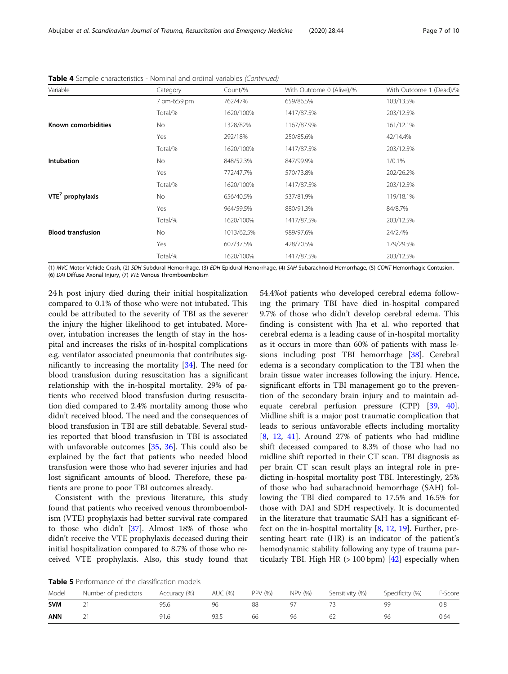| Variable                 | Category     | Count/%    | With Outcome 0 (Alive)/% | With Outcome 1 (Dead)/% |
|--------------------------|--------------|------------|--------------------------|-------------------------|
|                          | 7 pm-6:59 pm | 762/47%    | 659/86.5%                | 103/13.5%               |
|                          | Total/%      | 1620/100%  | 1417/87.5%               | 203/12.5%               |
| Known comorbidities      | No           | 1328/82%   | 1167/87.9%               | 161/12.1%               |
|                          | Yes          | 292/18%    | 250/85.6%                | 42/14.4%                |
|                          | Total/%      | 1620/100%  | 1417/87.5%               | 203/12.5%               |
| Intubation               | No           | 848/52.3%  | 847/99.9%                | 1/0.1%                  |
|                          | Yes          | 772/47.7%  | 570/73.8%                | 202/26.2%               |
|                          | Total/%      | 1620/100%  | 1417/87.5%               | 203/12.5%               |
| $VTE7$ prophylaxis       | No           | 656/40.5%  | 537/81.9%                | 119/18.1%               |
|                          | Yes          | 964/59.5%  | 880/91.3%                | 84/8.7%                 |
|                          | Total/%      | 1620/100%  | 1417/87.5%               | 203/12.5%               |
| <b>Blood transfusion</b> | No           | 1013/62.5% | 989/97.6%                | 24/2.4%                 |
|                          | Yes          | 607/37.5%  | 428/70.5%                | 179/29.5%               |
|                          | Total/%      | 1620/100%  | 1417/87.5%               | 203/12.5%               |
|                          |              |            |                          |                         |

<span id="page-6-0"></span>Table 4 Sample characteristics - Nominal and ordinal variables (Continued)

(1) MVC Motor Vehicle Crash, (2) SDH Subdural Hemorrhage, (3) EDH Epidural Hemorrhage, (4) SAH Subarachnoid Hemorrhage, (5) CONT Hemorrhagic Contusion, (6) DAI Diffuse Axonal Injury, (7) VTE Venous Thromboembolism

24 h post injury died during their initial hospitalization compared to 0.1% of those who were not intubated. This could be attributed to the severity of TBI as the severer the injury the higher likelihood to get intubated. Moreover, intubation increases the length of stay in the hospital and increases the risks of in-hospital complications e.g. ventilator associated pneumonia that contributes significantly to increasing the mortality [[34](#page-9-0)]. The need for blood transfusion during resuscitation has a significant relationship with the in-hospital mortality. 29% of patients who received blood transfusion during resuscitation died compared to 2.4% mortality among those who didn't received blood. The need and the consequences of blood transfusion in TBI are still debatable. Several studies reported that blood transfusion in TBI is associated with unfavorable outcomes [\[35,](#page-9-0) [36\]](#page-9-0). This could also be explained by the fact that patients who needed blood transfusion were those who had severer injuries and had lost significant amounts of blood. Therefore, these patients are prone to poor TBI outcomes already.

Consistent with the previous literature, this study found that patients who received venous thromboembolism (VTE) prophylaxis had better survival rate compared to those who didn't [\[37](#page-9-0)]. Almost 18% of those who didn't receive the VTE prophylaxis deceased during their initial hospitalization compared to 8.7% of those who received VTE prophylaxis. Also, this study found that 54.4%of patients who developed cerebral edema following the primary TBI have died in-hospital compared 9.7% of those who didn't develop cerebral edema. This finding is consistent with Jha et al. who reported that cerebral edema is a leading cause of in-hospital mortality as it occurs in more than 60% of patients with mass lesions including post TBI hemorrhage [[38\]](#page-9-0). Cerebral edema is a secondary complication to the TBI when the brain tissue water increases following the injury. Hence, significant efforts in TBI management go to the prevention of the secondary brain injury and to maintain ad-equate cerebral perfusion pressure (CPP) [[39](#page-9-0), [40](#page-9-0)]. Midline shift is a major post traumatic complication that leads to serious unfavorable effects including mortality [[8,](#page-8-0) [12,](#page-8-0) [41\]](#page-9-0). Around 27% of patients who had midline shift deceased compared to 8.3% of those who had no midline shift reported in their CT scan. TBI diagnosis as per brain CT scan result plays an integral role in predicting in-hospital mortality post TBI. Interestingly, 25% of those who had subarachnoid hemorrhage (SAH) following the TBI died compared to 17.5% and 16.5% for those with DAI and SDH respectively. It is documented in the literature that traumatic SAH has a significant effect on the in-hospital mortality [\[8](#page-8-0), [12](#page-8-0), [19](#page-8-0)]. Further, presenting heart rate (HR) is an indicator of the patient's hemodynamic stability following any type of trauma particularly TBI. High HR  $(>100$  bpm)  $[42]$  especially when

Table 5 Performance of the classification models

| Model      | Number of predictors | Accuracy (%) | AUC (%) | PPV (%) | NPV (%) | Sensitivity (%) | Specificity (%) | F-Score |
|------------|----------------------|--------------|---------|---------|---------|-----------------|-----------------|---------|
| <b>SVM</b> |                      | 95.6         | 96      | 88      |         |                 | QQ              | 0.8     |
| <b>ANN</b> |                      |              |         | 66      | 96      |                 | 96              | 0.64    |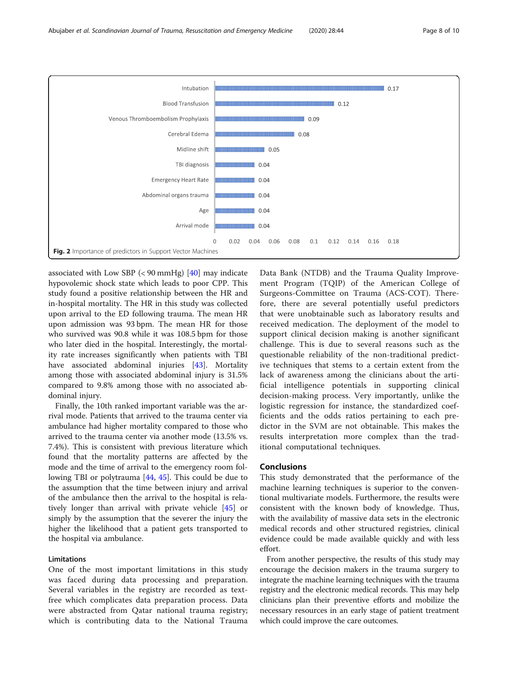<span id="page-7-0"></span>

associated with Low SBP  $(< 90 \text{ mmHg})$  [\[40](#page-9-0)] may indicate hypovolemic shock state which leads to poor CPP. This study found a positive relationship between the HR and in-hospital mortality. The HR in this study was collected upon arrival to the ED following trauma. The mean HR upon admission was 93 bpm. The mean HR for those who survived was 90.8 while it was 108.5 bpm for those who later died in the hospital. Interestingly, the mortality rate increases significantly when patients with TBI have associated abdominal injuries [\[43](#page-9-0)]. Mortality among those with associated abdominal injury is 31.5% compared to 9.8% among those with no associated abdominal injury.

Finally, the 10th ranked important variable was the arrival mode. Patients that arrived to the trauma center via ambulance had higher mortality compared to those who arrived to the trauma center via another mode (13.5% vs. 7.4%). This is consistent with previous literature which found that the mortality patterns are affected by the mode and the time of arrival to the emergency room following TBI or polytrauma [[44,](#page-9-0) [45\]](#page-9-0). This could be due to the assumption that the time between injury and arrival of the ambulance then the arrival to the hospital is relatively longer than arrival with private vehicle [\[45](#page-9-0)] or simply by the assumption that the severer the injury the higher the likelihood that a patient gets transported to the hospital via ambulance.

#### Limitations

One of the most important limitations in this study was faced during data processing and preparation. Several variables in the registry are recorded as textfree which complicates data preparation process. Data were abstracted from Qatar national trauma registry; which is contributing data to the National Trauma

Data Bank (NTDB) and the Trauma Quality Improvement Program (TQIP) of the American College of Surgeons-Committee on Trauma (ACS-COT). Therefore, there are several potentially useful predictors that were unobtainable such as laboratory results and received medication. The deployment of the model to support clinical decision making is another significant challenge. This is due to several reasons such as the questionable reliability of the non-traditional predictive techniques that stems to a certain extent from the lack of awareness among the clinicians about the artificial intelligence potentials in supporting clinical decision-making process. Very importantly, unlike the logistic regression for instance, the standardized coefficients and the odds ratios pertaining to each predictor in the SVM are not obtainable. This makes the results interpretation more complex than the traditional computational techniques.

#### Conclusions

This study demonstrated that the performance of the machine learning techniques is superior to the conventional multivariate models. Furthermore, the results were consistent with the known body of knowledge. Thus, with the availability of massive data sets in the electronic medical records and other structured registries, clinical evidence could be made available quickly and with less effort.

From another perspective, the results of this study may encourage the decision makers in the trauma surgery to integrate the machine learning techniques with the trauma registry and the electronic medical records. This may help clinicians plan their preventive efforts and mobilize the necessary resources in an early stage of patient treatment which could improve the care outcomes.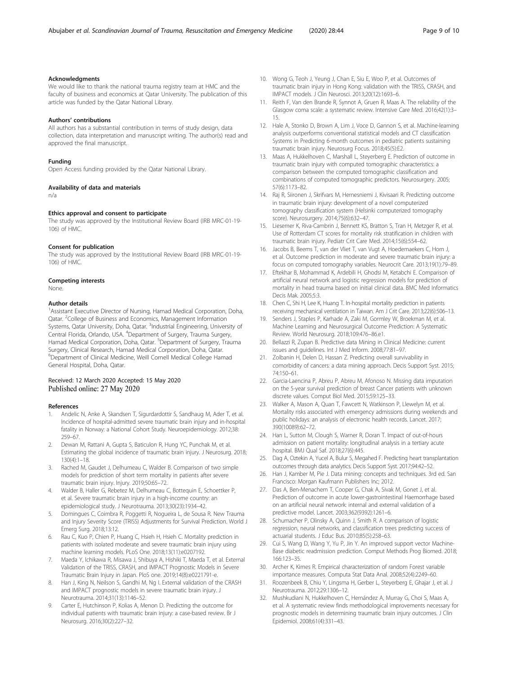#### <span id="page-8-0"></span>Acknowledgments

We would like to thank the national trauma registry team at HMC and the faculty of business and economics at Qatar University. The publication of this article was funded by the Qatar National Library.

#### Authors' contributions

All authors has a substantial contribution in terms of study design, data collection, data interpretation and manuscript writing. The author(s) read and approved the final manuscript.

#### Funding

Open Access funding provided by the Qatar National Library.

#### Availability of data and materials

n/a

#### Ethics approval and consent to participate

The study was approved by the Institutional Review Board (IRB MRC-01-19- 106) of HMC.

#### Consent for publication

The study was approved by the Institutional Review Board (IRB MRC-01-19- 106) of HMC.

#### Competing interests

None.

#### Author details

<sup>1</sup> Assistant Executive Director of Nursing, Hamad Medical Corporation, Doha, Qatar. <sup>2</sup>College of Business and Economics, Management Information Systems, Qatar University, Doha, Qatar. <sup>3</sup>Industrial Engineering, University of Central Florida, Orlando, USA. <sup>4</sup> Department of Surgery, Trauma Surgery, Hamad Medical Corporation, Doha, Qatar. <sup>5</sup>Department of Surgery, Trauma Surgery, Clinical Research, Hamad Medical Corporation, Doha, Qatar. 6 Department of Clinical Medicine, Weill Cornell Medical College Hamad General Hospital, Doha, Qatar.

#### Received: 12 March 2020 Accepted: 15 May 2020 Published online: 27 May 2020

#### References

- 1. Andelic N, Anke A, Skandsen T, Sigurdardottir S, Sandhaug M, Ader T, et al. Incidence of hospital-admitted severe traumatic brain injury and in-hospital fatality in Norway: a National Cohort Study. Neuroepidemiology. 2012;38: 259–67.
- 2. Dewan M, Rattani A, Gupta S, Baticulon R, Hung YC, Punchak M, et al. Estimating the global incidence of traumatic brain injury. J Neurosurg. 2018; 130(4):1–18.
- 3. Rached M, Gaudet J, Delhumeau C, Walder B. Comparison of two simple models for prediction of short term mortality in patients after severe traumatic brain injury. Injury. 2019;50:65–72.
- 4. Walder B, Haller G, Rebetez M, Delhumeau C, Bottequin E, Schoettker P, et al. Severe traumatic brain injury in a high-income country: an epidemiological study. J Neurotrauma. 2013;30(23):1934–42.
- 5. Domingues C, Coimbra R, Poggetti R, Nogueira L, de Sousa R. New Trauma and Injury Severity Score (TRISS) Adjustments for Survival Prediction. World J Emerg Surg. 2018;13:12.
- Rau C, Kuo P, Chien P, Huang C, Hsieh H, Hsieh C. Mortality prediction in patients with isolated moderate and severe traumatic brain injury using machine learning models. PLoS One. 2018;13(11):e0207192.
- 7. Maeda Y, Ichikawa R, Misawa J, Shibuya A, Hishiki T, Maeda T, et al. External Validation of the TRISS, CRASH, and IMPACT Prognostic Models in Severe Traumatic Brain Injury in Japan. PloS one. 2019;14(8):e0221791-e.
- 8. Han J, King N, Neilson S, Gandhi M, Ng I. External validation of the CRASH and IMPACT prognostic models in severe traumatic brain injury. J Neurotrauma. 2014;31(13):1146–52.
- 9. Carter E, Hutchinson P, Kolias A, Menon D. Predicting the outcome for individual patients with traumatic brain injury: a case-based review. Br J Neurosurg. 2016;30(2):227–32.
- 10. Wong G, Teoh J, Yeung J, Chan E, Siu E, Woo P, et al. Outcomes of traumatic brain injury in Hong Kong: validation with the TRISS, CRASH, and IMPACT models. J Clin Neurosci. 2013;20(12):1693–6.
- 11. Reith F, Van den Brande R, Synnot A, Gruen R, Maas A. The reliability of the Glasgow coma scale: a systematic review. Intensive Care Med. 2016;42(1):3– 15.
- 12. Hale A, Stonko D, Brown A, Lim J, Voce D, Gannon S, et al. Machine-learning analysis outperforms conventional statistical models and CT classification Systems in Predicting 6-month outcomes in pediatric patients sustaining traumatic brain injury. Neurosurg Focus. 2018;45(5):E2.
- 13. Maas A, Hukkelhoven C, Marshall L, Steyerberg E. Prediction of outcome in traumatic brain injury with computed tomographic characteristics: a comparison between the computed tomographic classification and combinations of computed tomographic predictors. Neurosurgery. 2005; 57(6):1173–82.
- 14. Raj R, Siironen J, Skrifvars M, Hernesniemi J, Kivisaari R. Predicting outcome in traumatic brain injury: development of a novel computerized tomography classification system (Helsinki computerized tomography score). Neurosurgery. 2014;75(6):632–47.
- 15. Liesemer K, Riva-Cambrin J, Bennett KS, Bratton S, Tran H, Metzger R, et al. Use of Rotterdam CT scores for mortality risk stratification in children with traumatic brain injury. Pediatr Crit Care Med. 2014;15(6):554–62.
- 16. Jacobs B, Beems T, van der Vliet T, van Vugt A, Hoedemaekers C, Horn J, et al. Outcome prediction in moderate and severe traumatic brain injury: a focus on computed tomography variables. Neurocrit Care. 2013;19(1):79–89.
- 17. Eftekhar B, Mohammad K, Ardebili H, Ghodsi M, Ketabchi E. Comparison of artificial neural network and logistic regression models for prediction of mortality in head trauma based on initial clinical data. BMC Med Informatics Decis Mak. 2005;5:3.
- 18. Chen C, Shi H, Lee K, Huang T. In-hospital mortality prediction in patients receiving mechanical ventilation in Taiwan. Am J Crit Care. 2013;22(6):506–13.
- 19. Senders J, Staples P, Karhade A, Zaki M, Gormley W, Broekman M, et al. Machine Learning and Neurosurgical Outcome Prediction: A Systematic Review. World Neurosurg. 2018;109:476–86.e1.
- 20. Bellazzi R, Zupan B. Predictive data Mining in Clinical Medicine: current issues and guidelines. Int J Med Inform. 2008;77:81–97.
- 21. Zolbanin H, Delen D, Hassan Z. Predicting overall survivability in comorbidity of cancers: a data mining approach. Decis Support Syst. 2015; 74:150–61.
- 22. Garcia-Laencina P, Abreu P, Abreu M, Afonoso N. Missing data imputation on the 5-year survival prediction of breast Cancer patients with unknown discrete values. Comput Biol Med. 2015;59:125–33.
- Walker A, Mason A, Quan T, Fawcett N, Watkinson P, Llewelyn M, et al. Mortality risks associated with emergency admissions during weekends and public holidays: an analysis of electronic health records. Lancet. 2017; 390(10089):62–72.
- 24. Han L, Sutton M, Clough S, Warner R, Doran T. Impact of out-of-hours admission on patient mortality: longitudinal analysis in a tertiary acute hospital. BMJ Qual Saf. 2018;27(6):445.
- 25. Dag A, Oztekin A, Yucel A, Bulur S, Megahed F. Predicting heart transplantation outcomes through data analytics. Decis Support Syst. 2017;94:42–52.
- 26. Han J, Kamber M, Pie J. Data mining: concepts and techniques. 3rd ed. San Francisco: Morgan Kaufmann Publishers Inc; 2012.
- 27. Das A, Ben-Menachem T, Cooper G, Chak A, Sivak M, Gonet J, et al. Prediction of outcome in acute lower-gastrointestinal Haemorrhage based on an artificial neural network: internal and external validation of a predictive model. Lancet. 2003;362(9392):1261–6.
- 28. Schumacher P, Olinsky A, Quinn J, Smith R. A comparison of logistic regression, neural networks, and classification trees predicting success of actuarial students. J Educ Bus. 2010;85(5):258–63.
- 29. Cui S, Wang D, Wang Y, Yu P, Jin Y. An improved support vector Machine-Base diabetic readmission prediction. Comput Methods Prog Biomed. 2018; 166:123–35.
- 30. Archer K, Kimes R. Empirical characterization of random Forest variable importance measures. Computa Stat Data Anal. 2008;52(4):2249–60.
- 31. Roozenbeek B, Chiu Y, Lingsma H, Gerber L, Steyerberg E, Ghajar J, et al. J Neurotrauma. 2012;29:1306–12.
- 32. Mushkudiani N, Hukkelhoven C, Hernández A, Murray G, Choi S, Maas A, et al. A systematic review finds methodological improvements necessary for prognostic models in determining traumatic brain injury outcomes. J Clin Epidemiol. 2008;61(4):331–43.